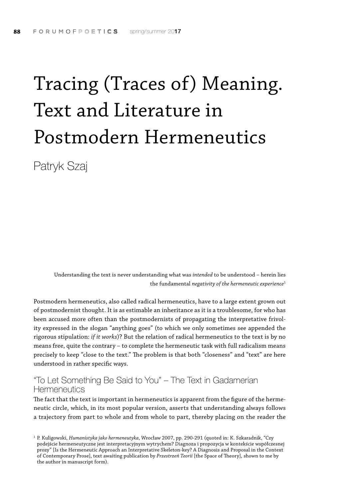## Tracing (Traces of) Meaning. Text and Literature in Postmodern Hermeneutics

Patryk Szaj

Understanding the text is never understanding what was *intended* to be understood – herein lies the fundamental *negativity of the hermeneutic experience*<sup>1</sup>

Postmodern hermeneutics, also called radical hermeneutics, have to a large extent grown out of postmodernist thought. It is as estimable an inheritance as it is a troublesome, for who has been accused more often than the postmodernists of propagating the interpretative frivolity expressed in the slogan "anything goes" (to which we only sometimes see appended the rigorous stipulation: *if it works*)? But the relation of radical hermeneutics to the text is by no means free, quite the contrary – to complete the hermeneutic task with full radicalism means precisely to keep "close to the text." The problem is that both "closeness" and "text" are here understood in rather specific ways.

## "To Let Something Be Said to You" – The Text in Gadamerian **Hermeneutics**

The fact that the text is important in hermeneutics is apparent from the figure of the hermeneutic circle, which, in its most popular version, asserts that understanding always follows a trajectory from part to whole and from whole to part, thereby placing on the reader the

<sup>1</sup> P. Kuligowski, *Humanistyka jako hermeneutyka*, Wrocław 2007, pp. 290-291 (quoted in: K. Szkaradnik, "Czy podejście hermeneutyczne jest interpretacyjnym wytrychem? Diagnoza i propozycja w kontekście współczesnej prozy" [Is the Hermeneutic Approach an Interpretative Skeleton-key? A Diagnosis and Proposal in the Context of Contemporary Prose], text awaiting publication by *Przestrzeń Teorii* [the Space of Theory], shown to me by the author in manuscript form).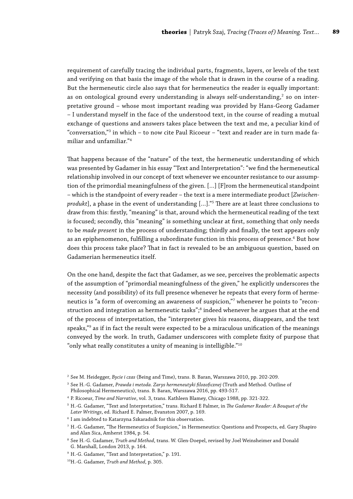requirement of carefully tracing the individual parts, fragments, layers, or levels of the text and verifying on that basis the image of the whole that is drawn in the course of a reading. But the hermeneutic circle also says that for hermeneutics the reader is equally important: as on ontological ground every understanding is always self-understanding, $^{\text{2}}$  so on interpretative ground – whose most important reading was provided by Hans-Georg Gadamer – I understand myself in the face of the understood text, in the course of reading a mutual exchange of questions and answers takes place between the text and me, a peculiar kind of "conversation,"3 in which – to now cite Paul Ricoeur – "text and reader are in turn made familiar and unfamiliar."4

That happens because of the "nature" of the text, the hermeneutic understanding of which was presented by Gadamer in his essay "Text and Interpretation": "we find the hermeneutical relationship involved in our concept of text whenever we encounter resistance to our assumption of the primordial meaningfulness of the given. […] [F]rom the hermeneutical standpoint – which is the standpoint of every reader – the text is a mere intermediate product [*Zwischenprodukt*], a phase in the event of understanding […]."5 There are at least three conclusions to draw from this: firstly, "meaning" is that, around which the hermeneutical reading of the text is focused; secondly, this "meaning" is something unclear at first, something that only needs to be *made present* in the process of understanding; thirdly and finally, the text appears only as an epiphenomenon, fulfilling a subordinate function in this process of presence. $^6$  But how does this process take place? That in fact is revealed to be an ambiguous question, based on Gadamerian hermeneutics itself.

On the one hand, despite the fact that Gadamer, as we see, perceives the problematic aspects of the assumption of "primordial meaningfulness of the given," he explicitly underscores the necessity (and possibility) of its full presence whenever he repeats that every form of hermeneutics is "a form of overcoming an awareness of suspicion,"<sup>7</sup> whenever he points to "reconstruction and integration as hermeneutic tasks";<sup>8</sup> indeed whenever he argues that at the end of the process of interpretation, the "interpreter gives his reasons, disappears, and the text speaks,"9 as if in fact the result were expected to be a miraculous unification of the meanings conveyed by the work. In truth, Gadamer underscores with complete fixity of purpose that "only what really constitutes a unity of meaning is intelligible." $10$ 

<sup>2</sup> See M. Heidegger, *Bycie i czas* (Being and Time), trans. B. Baran, Warszawa 2010, pp. 202-209.

<sup>3</sup> See H.-G. Gadamer, *Prawda i metoda. Zarys hermeneutyki filozoficznej* (Truth and Method. Outline of Philosophical Hermeneutics), trans. B. Baran, Warszawa 2016, pp. 493-517.

<sup>4</sup> P. Ricoeur, *Time and Narrative*, vol. 3, trans. Kathleen Blamey, Chicago 1988, pp. 321-322.

<sup>5</sup> H.-G. Gadamer, "Text and Interpretation," trans. Richard E Palmer, in *The Gadamer Reader: A Bouquet of the Later Writings*, ed. Richard E. Palmer, Evanston 2007, p. 169.

<sup>6</sup> I am indebted to Katarzyna Szkaradnik for this observation.

<sup>7</sup> H.-G. Gadamer, "The Hermeneutics of Suspicion," in Hermeneutics: Questions and Prospects, ed. Gary Shapiro and Alan Sica, Amherst 1984, p. 54.

<sup>8</sup> See H.-G. Gadamer, *Truth and Method*, trans. W. Glen-Doepel, revised by Joel Weinsheimer and Donald G. Marshall, London 2013, p. 164.

<sup>9</sup> H.-G. Gadamer, "Text and Interpretation," p. 191.

<sup>10</sup>H.-G. Gadamer, *Truth and Method*, p. 305.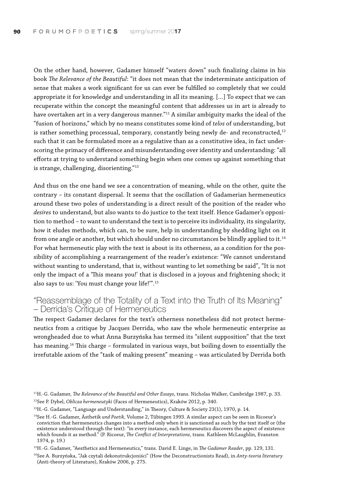On the other hand, however, Gadamer himself "waters down" such finalizing claims in his book *The Relevance of the Beautiful*: "it does not mean that the indeterminate anticipation of sense that makes a work significant for us can ever be fulfilled so completely that we could appropriate it for knowledge and understanding in all its meaning. […] To expect that we can recuperate within the concept the meaningful content that addresses us in art is already to have overtaken art in a very dangerous manner."11 A similar ambiguity marks the ideal of the "fusion of horizons," which by no means constitutes some kind of *telos* of understanding, but is rather something processual, temporary, constantly being newly de- and reconstructed,<sup>12</sup> such that it can be formulated more as a regulative than as a constitutive idea, in fact underscoring the primacy of difference and misunderstanding over identity and understanding: "all efforts at trying to understand something begin when one comes up against something that is strange, challenging, disorienting."13

And thus on the one hand we see a concentration of meaning, while on the other, quite the contrary – its constant dispersal. It seems that the oscillation of Gadamerian hermeneutics around these two poles of understanding is a direct result of the position of the reader who *desires* to understand, but also wants to do justice to the text itself. Hence Gadamer's opposition to method – to want to understand the text is to perceive its individuality, its singularity, how it eludes methods, which can, to be sure, help in understanding by shedding light on it from one angle or another, but which should under no circumstances be blindly applied to it.<sup>14</sup> For what hermeneutic play with the text is about is its otherness, as a condition for the possibility of accomplishing a rearrangement of the reader's existence: "We cannot understand without wanting to understand, that is, without wanting to let something be said", "It is not only the impact of a 'This means you!' that is disclosed in a joyous and frightening shock; it also says to us: 'You must change your life!'".15

## "Reassemblage of the Totality of a Text into the Truth of Its Meaning" – Derrida's Critique of Hermeneutics

The respect Gadamer declares for the text's otherness nonetheless did not protect hermeneutics from a critique by Jacques Derrida, who saw the whole hermeneutic enterprise as wrongheaded due to what Anna Burzyńska has termed its "silent supposition" that the text has meaning.16 This charge – formulated in various ways, but boiling down to essentially the irrefutable axiom of the "task of making present" meaning – was articulated by Derrida both

- <sup>13</sup>H.-G. Gadamer, "Language and Understanding," in Theory, Culture & Society 23(1), 1970, p. 14.
- 14See H.-G. Gadamer, Ästhetik *und Poetik,* Volume 2, Tűbingen 1993. A similar aspect can be seen in Ricoeur's conviction that hermeneutics changes into a method only when it is sanctioned as such by the text itself or (the existence understood through the text): "in every instance, each hermeneutics discovers the aspect of existence which founds it as method." (P. Ricoeur, *The Conflict of Interpretations*, trans. Kathleen McLaughlin, Evanston 1974, p. 19.)
- 15H.-G. Gadamer, "Aesthetics and Hermeneutics," trans. David E. Linge, in *The Gadamer Reader*, pp. 129, 131.

<sup>11</sup>H.-G. Gadamer, *The Relevance of the Beautiful and Other Essays*, trans. Nicholas Walker, Cambridge 1987, p. 33. 12See P. Dybel, *Oblicza hermeneutyki* (Faces of Hermeneutics), Kraków 2012, p. 340.

<sup>16</sup>See A. Burzyńska, "Jak czytali dekonstrukcjoniści" (How the Deconstructionists Read), in *Anty-teoria literatury* (Anti-theory of Literature), Kraków 2006, p. 275.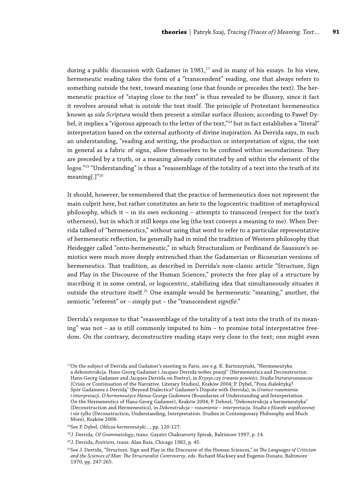during a public discussion with Gadamer in 1981,<sup>17</sup> and in many of his essays. In his view, hermeneutic reading takes the form of a "transcendent" reading, one that always refers to something outside the text, toward meaning (one that founds or precedes the text). The hermeneutic practice of "staying close to the text" is thus revealed to be illusory, since it fact it revolves around what is *outside* the text itself. The principle of Protestant hermeneutics known as *sola Scriptura* would then present a similar surface illusion; according to Paweł Dybel, it implies a "rigorous approach to the letter of the text,"<sup>18</sup> but in fact establishes a "literal" interpretation based on the external authority of divine inspiration. As Derrida says, in such an understanding, "reading and writing, the production or interpretation of signs, the text in general as a fabric of signs, allow themselves to be confined within secondariness. They are preceded by a truth, or a meaning already constituted by and within the element of the logos."<sup>19</sup> "Understanding" is thus a "reassemblage of the totality of a text into the truth of its meaning[.]"20

It should, however, be remembered that the practice of hermeneutics does not represent the main culprit here, but rather constitutes an heir to the logocentric tradition of metaphysical philosophy, which it – in its own reckoning – attempts to transcend (respect for the text's otherness), but in which it still keeps one leg (the text conveys a meaning to me). When Derrida talked of "hermeneutics," without using that word to refer to a particular representative of hermeneutic reflection, he generally had in mind the tradition of Western philosophy that Heidegger called "onto-hermeneutic," in which Structuralism or Ferdinand de Saussure's semiotics were much more deeply entrenched than the Gadamerian or Ricoeurian versions of hermeneutics. That tradition, as described in Derrida's now-classic article "Structure, Sign and Play in the Discourse of the Human Sciences," protects the free play of a structure by inscribing it in some central, or logocentric, stabilizing idea that simultaneously situates it outside the structure itself.<sup>21</sup> One example would be hermeneutic "meaning," another, the semiotic "referent" or – simply put – the "transcendent *signifié*."

Derrida's response to that "reassemblage of the totality of a text into the truth of its meaning" was not – as is still commonly imputed to him – to promise total interpretative freedom. On the contrary, deconstructive reading stays very close to the text; one might even

<sup>&</sup>lt;sup>17</sup>On the subject of Derrida and Gadamer's meeting in Paris, see e.g. K. Bartoszyński, "Hermeneutyka a dekonstrukcja. Hans-Georg Gadamer i Jacques Derrida wobec poezji" (Hermeneutics and Deconstructon. Hans-Georg Gadamer and Jacques Derrida on Poetry), in *Kryzys czy trwanie powieści. Studia literaturoznawcze* (Crisis or Continuation of the Narrative. Literary Studies), Kraków 2004; P. Dybel, "Poza dialektyką? Spór Gadamera z Derridą" (Beyond Dialectics? Gadamer's Dispute with Derrida), in *Granice rozumienia i interpretacji. O hermeneutyce Hansa-Georga Gadamera* (Boundaries of Understanding and Interpretation. On the Hermeneutics of Hans-Georg Gadamer), Kraków 2004; P. Dehnel, "Dekonstrukcja a hermeneutyka" (Deconstruction and Hermeneutics), in *Dekonstrukcja – rozumienie – interpretacja. Studia z filozofii współczesnej i nie tylko* (Deconstruction, Understanding, Interpretation. Studies in Contemporary Philosophy and Much More), Kraków 2006.

<sup>18</sup>See P. Dybel, *Oblicza hermeneutyki…*, pp. 120-127.

<sup>19</sup>J. Derrida, *Of Grammatology*, trans. Gayatri Chakravorty Spivak, Baltimore 1997, p. 14.

<sup>20</sup>J. Derrida, *Positions*, trans. Alan Bass, Chicago 1982, p. 45.

<sup>21</sup>See J. Derrida, "Structure, Sign and Play in the Discourse of the Human Sciences," in *The Languages of Criticism and the Sciences of Man: The Structuralist Controversy*, eds. Richard Macksey and Eugenio Donato, Baltimore 1970, pp. 247-265.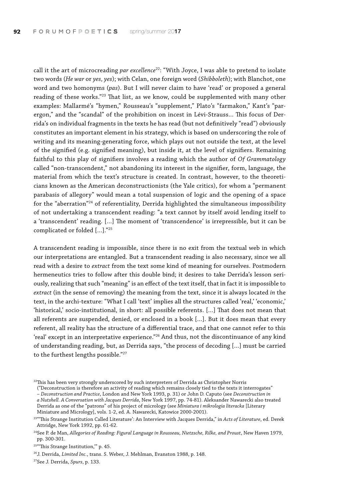call it the art of microcreading *par excellence*<sup>22</sup>: "With Joyce, I was able to pretend to isolate two words (*He war* or *yes, yes*); with Celan, one foreign word (*Shibboleth*); with Blanchot, one word and two homonyms (*pas*). But I will never claim to have 'read' or proposed a general reading of these works."23 That list, as we know, could be supplemented with many other examples: Mallarmé's "hymen," Rousseau's "supplement," Plato's "farmakon," Kant's "parergon," and the "scandal" of the prohibition on incest in Lévi-Strauss… This focus of Derrida's on individual fragments in the texts he has read (but not definitively "read") obviously constitutes an important element in his strategy, which is based on underscoring the role of writing and its meaning-generating force, which plays out not outside the text, at the level of the signified (e.g. signified meaning), but inside it, at the level of signifiers. Remaining faithful to this play of signifiers involves a reading which the author of *Of Grammatology*  called "non-transcendent," not abandoning its interest in the signifier, form, language, the material from which the text's structure is created. In contrast, however, to the theoreticians known as the American deconstructionists (the Yale critics), for whom a "permanent parabasis of allegory" would mean a total suspension of logic and the opening of a space for the "aberration"24 of referentiality, Derrida highlighted the simultaneous impossibility of not undertaking a transcendent reading: "a text cannot by itself avoid lending itself to a 'transcendent' reading. […] The moment of 'transcendence' is irrepressible, but it can be complicated or folded [...]."25

A transcendent reading is impossible, since there is no exit from the textual web in which our interpretations are entangled. But a transcendent reading is also necessary, since we all read with a desire to *extract* from the text some kind of meaning for ourselves. Postmodern hermeneutics tries to follow after this double bind; it desires to take Derrida's lesson seriously, realizing that such "meaning" is an effect of the text itself, that in fact it is impossible to *extract* (in the sense of removing) the meaning from the text, since it is always located *in* the text, in the archi-texture: "What I call 'text' implies all the structures called 'real,' 'economic,' 'historical,' socio-institutional, in short: all possible referents. […] That does not mean that all referents are suspended, denied, or enclosed in a book […]. But it does mean that every referent, all reality has the structure of a differential trace, and that one cannot refer to this 'real' except in an interpretative experience."26 And thus, not the discontinuance of any kind of understanding reading, but, as Derrida says, "the process of decoding […] must be carried to the furthest lengths possible."27

("Deconstruction is therefore an activity of reading which remains closely tied to the texts it interrogates"

27See J. Derrida, *Spurs*, p. 133.

<sup>&</sup>lt;sup>22</sup>This has been very strongly underscored by such interpreters of Derrida as Christopher Norris

<sup>–</sup> *Deconstruction and Practice*, London and New York 1993, p. 31) or John D. Caputo (see *Deconstruction in a Nutshell. A Conversation with Jacques Derrida*, New York 1997, pp. 74-81). Aleksander Nawarecki also treated

Derrida as one of the "patrons" of his project of micrology (see *Miniatura i mikrologia literacka* [Literary Miniature and Micrology], vols. 1-2, ed. A. Nawarecki, Katowice 2000-2001).

<sup>23&</sup>quot;'This Strange Institution Called Literature': An Interview with Jacques Derrida," in *Acts of Literature*, ed. Derek Attridge, New York 1992, pp. 61-62.

<sup>24</sup>See P. de Man, *Allegories of Reading: Figural Language in Rousseau, Nietzsche, Rilke, and Proust*, New Haven 1979, pp. 300-301.

<sup>&</sup>lt;sup>25</sup>"This Strange Institution," p. 45.

<sup>26</sup>J. Derrida, *Limited Inc.*, trans. S. Weber, J. Mehlman, Evanston 1988, p. 148.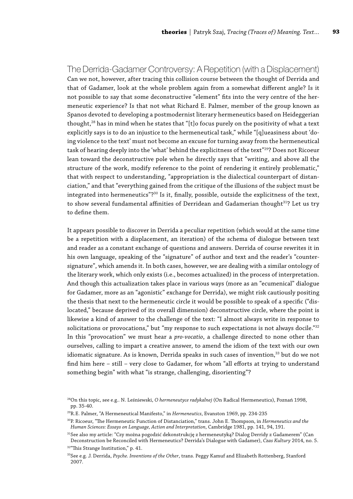### The Derrida-Gadamer Controversy: A Repetition (with a Displacement)

Can we not, however, after tracing this collision course between the thought of Derrida and that of Gadamer, look at the whole problem again from a somewhat different angle? Is it not possible to say that some deconstructive "element" fits into the very centre of the hermeneutic experience? Is that not what Richard E. Palmer, member of the group known as Spanos devoted to developing a postmodernist literary hermeneutics based on Heideggerian thought,<sup>28</sup> has in mind when he states that "[t]o focus purely on the positivity of what a text explicitly says is to do an injustice to the hermeneutical task," while "[q]ueasiness about 'doing violence to the text' must not become an excuse for turning away from the hermeneutical task of hearing deeply into the 'what' behind the explicitness of the text"<sup>29</sup>? Does not Ricoeur lean toward the deconstructive pole when he directly says that "writing, and above all the structure of the work, modify reference to the point of rendering it entirely problematic," that with respect to understanding, "appropriation is the dialectical counterpart of distanciation," and that "everything gained from the critique of the illusions of the subject must be integrated into hermeneutics"?<sup>30</sup> Is it, finally, possible, outside the explicitness of the text, to show several fundamental affinities of Derridean and Gadamerian thought<sup>31</sup>? Let us try to define them.

It appears possible to discover in Derrida a peculiar repetition (which would at the same time be a repetition with a displacement, an iteration) of the schema of dialogue between text and reader as a constant exchange of questions and answers. Derrida of course rewrites it in his own language, speaking of the "signature" of author and text and the reader's "countersignature", which amends it. In both cases, however, we are dealing with a similar ontology of the literary work, which only exists (i.e., becomes actualized) in the process of interpretation. And though this actualization takes place in various ways (more as an "ecumenical" dialogue for Gadamer, more as an "agonistic" exchange for Derrida), we might risk cautiously positing the thesis that next to the hermeneutic circle it would be possible to speak of a specific ("dislocated," because deprived of its overall dimension) deconstructive circle, where the point is likewise a kind of answer to the challenge of the text: "I almost always write in response to solicitations or provocations," but "my response to such expectations is not always docile."<sup>32</sup> In this "provocation" we must hear a *pro-vocatio*, a challenge directed to none other than ourselves, calling to impart a creative answer, to amend the idiom of the text with our own idiomatic signature. As is known, Derrida speaks in such cases of invention,<sup>33</sup> but do we not find him here – still – very close to Gadamer, for whom "all efforts at trying to understand something begin" with what "is strange, challenging, disorienting"?

<sup>28</sup>On this topic, see e.g.. N. Leśniewski, *O hermeneutyce radykalnej* (On Radical Hermeneutics), Poznań 1998, pp. 35-40.

<sup>29</sup>R.E. Palmer, "A Hermeneutical Manifesto," in *Hermeneutics*, Evanston 1969, pp. 234-235

<sup>30</sup>P. Ricoeur, "The Hermeneutic Function of Distanciation," trans. John E. Thompson, in *Hermeneutics and the Human Sciences: Essays on Language, Action and Interpretation*, Cambridge 1981, pp. 141, 94, 191.

<sup>&</sup>lt;sup>31</sup>See also my article: "Czy można pogodzić dekonstrukcję z hermeneutyką? Dialog Derridy z Gadamerem" (Can Deconstruction be Reconciled with Hermeneutics? Derrida's Dialogue with Gadamer), *Czas Kultury* 2014, no. 5.

<sup>&</sup>lt;sup>32"</sup>This Strange Institution," p. 41.

<sup>33</sup>See e.g. J. Derrida, *Psyche. Inventions of the Other*, trans. Peggy Kamuf and Elizabeth Rottenberg, Stanford 2007.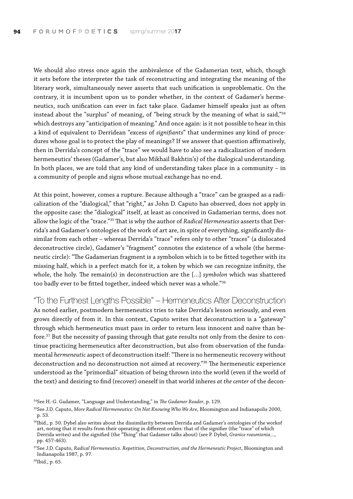We should also stress once again the ambivalence of the Gadamerian text, which, though it sets before the interpreter the task of reconstructing and integrating the meaning of the literary work, simultaneously never asserts that such unification is unproblematic. On the contrary, it is incumbent upon us to ponder whether, in the context of Gadamer's hermeneutics, such unification can ever in fact take place. Gadamer himself speaks just as often instead about the "surplus" of meaning, of "being struck by the meaning of what is said,"34 which destroys any "anticipation of meaning." And once again: is it not possible to hear in this a kind of equivalent to Derridean "excess of *signifiants*" that undermines any kind of procedures whose goal is to protect the play of meanings? If we answer that question affirmatively, then in Derrida's concept of the "trace" we would have to also see a radicalization of modern hermeneutics' theses (Gadamer's, but also Mikhail Bakhtin's) of the dialogical understanding. In both places, we are told that any kind of understanding takes place in a community – in a community of people and signs whose mutual exchange has no end.

At this point, however, comes a rupture. Because although a "trace" can be grasped as a radicalization of the "dialogical," that "right," as John D. Caputo has observed, does not apply in the opposite case: the "dialogical" itself, at least as conceived in Gadamerian terms, does not allow the logic of the "trace."35 That is why the author of *Radical Hermeneutics* asserts that Derrida's and Gadamer's ontologies of the work of art are, in spite of everything, significantly dissimilar from each other – whereas Derrida's "trace" refers only to other "traces" (a dislocated deconstructive circle), Gadamer's "fragment" connotes the existence of a whole (the hermeneutic circle): "The Gadamerian fragment is a symbolon which is to be fitted together with its missing half, which is a perfect match for it, a token by which we can recognize infinity, the whole, the holy. The remain(s) in deconstruction are the […] *symbolon* which was shattered too badly ever to be fitted together, indeed which never was a whole."36

"To the Furthest Lengths Possible" – Hermeneutics After Deconstruction As noted earlier, postmodern hermeneutics tries to take Derrida's lesson seriously, and even grows directly of from it. In this context, Caputo writes that deconstruction is a "gateway" through which hermeneutics must pass in order to return less innocent and naïve than before.37 But the necessity of passing through that gate results not only from the desire to continue practicing hermeneutics after deconstruction, but also from observation of the fundamental *hermeneutic* aspect of deconstruction itself: "There is no hermeneutic recovery without deconstruction and no deconstruction not aimed at recovery."38 The hermeneutic experience understood as the "primordial" situation of being thrown into the world (even if the world of the text) and desiring to find (recover) oneself in that world inheres *at the center* of the decon-

<sup>34</sup>See H.-G. Gadamer, "Language and Understanding," in *The Gadamer Reader*, p. 129.

<sup>35</sup>See J.D. Caputo, *More Radical Hermeneutics: On Not Knowing Who We Are*, Bloomington and Indianapolis 2000, p. 53.

<sup>&</sup>lt;sup>36</sup>Ibid., p. 50. Dybel also writes about the dissimilarity between Derrida and Gadamer's ontologies of the workof art, noting that it results from their operating in different orders: that of the signifier (the "trace" of which Derrida writes) and the signified (the "Thing" that Gadamer talks about) (see P. Dybel, *Granice rozumienia…*, pp. 457-463).

<sup>37</sup>See J.D. Caputo, *Radical Hermeneutics. Repetition, Deconstruction, and the Hermeneutic Project*, Bloomington and Indianapolis 1987, p. 97.

<sup>38</sup>Ibid., p. 65.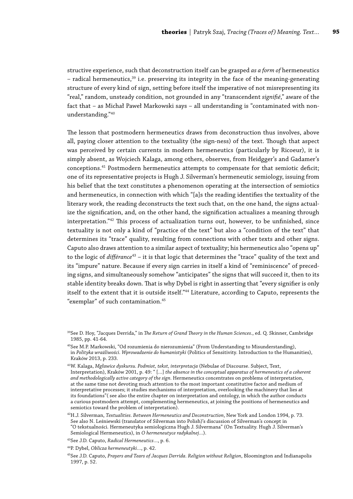structive experience, such that deconstruction itself can be grasped *as a form of* hermeneutics  $-$  radical hermeneutics,<sup>39</sup> i.e. preserving its integrity in the face of the meaning-generating structure of every kind of sign, setting before itself the imperative of not misrepresenting its "real," random, unsteady condition, not grounded in any "transcendent *signifié*," aware of the fact that – as Michał Paweł Markowski says – all understanding is "contaminated with nonunderstanding."40

The lesson that postmodern hermeneutics draws from deconstruction thus involves, above all, paying closer attention to the textuality (the sign-ness) of the text. Though that aspect was perceived by certain currents in modern hermeneutics (particularly by Ricoeur), it is simply absent, as Wojciech Kalaga, among others, observes, from Heidgger's and Gadamer's conceptions.41 Postmodern hermeneutics attempts to compensate for that semiotic deficit; one of its representative projects is Hugh J. Silverman's hermeneutic semiology, issuing from his belief that the text constitutes a phenomenon operating at the intersection of semiotics and hermeneutics, in connection with which "[a]s the reading identifies the textuality of the literary work, the reading deconstructs the text such that, on the one hand, the signs actualize the signification, and, on the other hand, the signification actualizes a meaning through interpretation."42 This process of actualization turns out, however, to be unfinished, since textuality is not only a kind of "practice of the text" but also a "condition of the text" that determines its "trace" quality, resulting from connections with other texts and other signs. Caputo also draws attention to a similar aspect of textuality; his hermeneutics also "opens up" to the logic of *différance*43 – it is that logic that determines the "trace" quality of the text and its "impure" nature. Because if every sign carries in itself a kind of "reminiscence" of preceding signs, and simultaneously somehow "anticipates" the signs that will succeed it, then to its stable identity breaks down. That is why Dybel is right in asserting that "every signifier is only itself to the extent that it is outside itself."44 Literature, according to Caputo, represents the "exemplar" of such contamination.45

<sup>39</sup>See D. Hoy, "Jacques Derrida," in *The Return of Grand Theory in the Human Sciences.*, ed. Q. Skinner, Cambridge 1985, pp. 41-64.

<sup>40</sup>See M.P. Markowski, "Od rozumienia do nierozumienia" (From Understanding to Misunderstanding), in *Polityka wrażliwości. Wprowadzenie do humanistyki* (Politics of Sensitivity. Introduction to the Humanities), Kraków 2013, p. 233.

<sup>41</sup>W. Kalaga, *Mgławice dyskursu. Podmiot, tekst, interpretacja* (Nebulae of Discourse. Subject, Text, Interpretation), Kraków 2001, p. 49: " […] *the absence in the conceptual apparatus of hermeneutics of a coherent and methodologically active category of the sign.* Hermeneutics concentrates on problems of interpretation, at the same time not devoting much attention to the most important constitutive factor and medium of interpretative processes; it studies mechanisms of interpretation, overlooking the machinery that lies at its foundations"( see also the entire chapter on interpretation and ontology, in which the author conducts a curious postmodern attempt, complementing hermeneutics, at joining the positions of hermeneutics and semiotics toward the problem of interpretation).

<sup>42</sup>H.J. Silverman, *Textualities. Between Hermeneutics and Deconstruction*, New York and London 1994, p. 73. See also N. Leśniewski (translator of Silverman into Polish)'s discussion of Silverman's concept in "O tekstualności. Hermeneutyka semiologiczna Hugh J. Silvermana" (On Textuality. Hugh J. Silverman's Semiological Hermeneutics), in *O hermeneutyce radykalnej…*).

<sup>43</sup>See J.D. Caputo, *Radical Hermeneutics…*, p. 6.

<sup>44</sup>P. Dybel, *Oblicza hermeneutyki…*, p. 42.

<sup>45</sup>See J.D. Caputo, *Prayers and Tears of Jacques Derrida. Religion without Religion*, Bloomington and Indianapolis 1997, p. 52.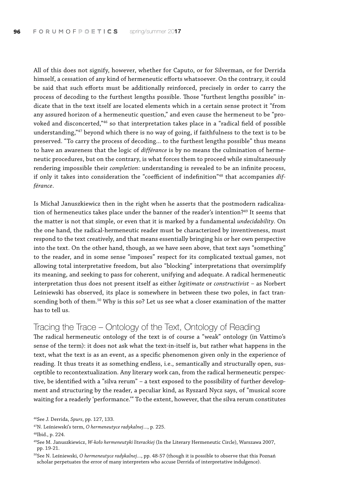All of this does not signify, however, whether for Caputo, or for Silverman, or for Derrida himself, a cessation of any kind of hermeneutic efforts whatsoever. On the contrary, it could be said that such efforts must be additionally reinforced, precisely in order to carry the process of decoding to the furthest lengths possible. Those "furthest lengths possible" indicate that in the text itself are located elements which in a certain sense protect it "from any assured horizon of a hermeneutic question," and even cause the hermeneut to be "provoked and disconcerted,"46 so that interpretation takes place in a "radical field of possible understanding,"47 beyond which there is no way of going, if faithfulness to the text is to be preserved. "To carry the process of decoding... to the furthest lengths possible" thus means to have an awareness that the logic of *différance* is by no means the culmination of hermeneutic procedures, but on the contrary, is what forces them to proceed while simultaneously rendering impossible their *completion*: understanding is revealed to be an infinite process, if only it takes into consideration the "coefficient of indefinition"48 that accompanies *différance*.

Is Michał Januszkiewicz then in the right when he asserts that the postmodern radicalization of hermeneutics takes place under the banner of the reader's intention?<sup>49</sup> It seems that the matter is not that simple, or even that it is marked by a fundamental *undecidability*. On the one hand, the radical-hermeneutic reader must be characterized by inventiveness, must respond to the text creatively, and that means essentially bringing his or her own perspective into the text. On the other hand, though, as we have seen above, that text says "something" to the reader, and in some sense "imposes" respect for its complicated textual games, not allowing total interpretative freedom, but also "blocking" interpretations that oversimplify its meaning, and seeking to pass for coherent, unifying and adequate. A radical hermeneutic interpretation thus does not present itself as either *legitimate* or *constructivist* – as Norbert Leśniewski has observed, its place is somewhere in between these two poles, in fact transcending both of them.50 Why is this so? Let us see what a closer examination of the matter has to tell us.

## Tracing the Trace – Ontology of the Text, Ontology of Reading

The radical hermeneutic ontology of the text is of course a "weak" ontology (in Vattimo's sense of the term): it does not ask what the text-in-itself is, but rather what happens in the text, what the text is as an event, as a specific phenomenon given only in the experience of reading. It thus treats it as something endless, i.e., semantically and structurally open, susceptible to recontextualization. Any literary work can, from the radical hermeneutic perspective, be identified with a "silva rerum" – a text exposed to the possibility of further development and structuring by the reader, a peculiar kind, as Ryszard Nycz says, of "musical score waiting for a readerly 'performance.'" To the extent, however, that the silva rerum constitutes

<sup>46</sup>See J. Derrida, *Spurs*, pp. 127, 133.

<sup>47</sup>N. Leśniewski's term, *O hermeneutyce radykalnej…*, p. 225.

<sup>48</sup>Ibid., p. 224.

<sup>49</sup>See M. Januszkiewicz, *W-koło hermeneutyki literackiej* (In the Literary Hermeneutic Circle), Warszawa 2007, pp. 19-21.

<sup>50</sup>See N. Leśniewski, *O hermeneutyce radykalnej…*, pp. 48-57 (though it is possible to observe that this Poznań scholar perpetuates the error of many interpreters who accuse Derrida of interpretative indulgence).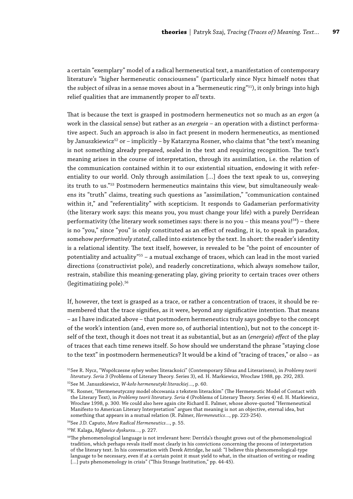a certain "exemplary" model of a radical hermeneutical text, a manifestation of contemporary literature's "higher hermeneutic consciousness" (particularly since Nycz himself notes that the subject of silvas in a sense moves about in a "hermeneutic ring"<sup>51</sup>), it only brings into high relief qualities that are immanently proper to *all* texts.

That is because the text is grasped in postmodern hermeneutics not so much as an *ergon* (a work in the classical sense) but rather as an *energeia* – an operation with a distinct performative aspect. Such an approach is also in fact present in modern hermeneutics, as mentioned by Januszkiewicz<sup>52</sup> or – implicitly – by Katarzyna Rosner, who claims that "the text's meaning is not something already prepared, sealed in the text and requiring recognition. The text's meaning arises in the course of interpretation, through its assimilation, i.e. the relation of the communication contained within it to our existential situation, endowing it with referentiality to our world. Only through assimilation […] does the text speak to us, conveying its truth to us."53 Postmodern hermeneutics maintains this view, but simultaneously weakens its "truth" claims, treating such questions as "assimilation," "communication contained within it," and "referentiality" with scepticism. It responds to Gadamerian performativity (the literary work says: this means you, you must change your life) with a purely Derridean performativity (the literary work sometimes says: there is no you – this means you! $54$ ) – there is no "you," since "you" is only constituted as an effect of reading, it is, to speak in paradox, somehow *performatively stated*, called into existence by the text. In short: the reader's identity is a relational identity. The text itself, however, is revealed to be "the point of encounter of potentiality and actuality"55 – a mutual exchange of traces, which can lead in the most varied directions (constructivist pole), and readerly concretizations, which always somehow tailor, restrain, stabilize this meaning-generating play, giving priority to certain traces over others (legitimatizing pole).<sup>56</sup>

If, however, the text is grasped as a trace, or rather a concentration of traces, it should be remembered that the trace signifies, as it were, beyond any significative intention. That means – as I have indicated above – that postmodern hermeneutics truly says goodbye to the concept of the work's intention (and, even more so, of authorial intention), but not to the concept itself of the text, though it does not treat it as substantial, but as an (*energeia*) *effect* of the play of traces that each time renews itself. So how should we understand the phrase "staying close to the text" in postmodern hermeneutics? It would be a kind of "tracing of traces," or also – as

<sup>51</sup>See R. Nycz, "Współczesne sylwy wobec literackości" (Contemporary Silvas and Literariness), in *Problemy teorii literatury. Seria 3* (Problems of Literary Theory. Series 3), ed. H. Markiewicz, Wrocław 1988, pp. 292, 283.

<sup>52</sup>See M. Januszkiewicz, *W-koło hermeneutyki literackiej…*, p. 60.

<sup>53</sup>K. Rosner, "Hermeneutyczny model obcowania z tekstem literackim" (The Hermeneutic Model of Contact with the Literary Text), in *Problemy teorii literatury. Seria 4* (Problems of Literary Theory. Series 4) ed. H. Markiewicz, Wrocław 1998, p. 300. We could also here again cite Richard E. Palmer, whose above-quoted "Hermeneutical Manifesto to American Literary Interpretation" argues that meaning is not an objective, eternal idea, but something that appears in a mutual relation (R. Palmer, *Hermeneutics…*, pp. 223-254).

<sup>54</sup>See J.D. Caputo, *More Radical Hermeneutics…*, p. 55.

<sup>55</sup>W. Kalaga, *Mgławice dyskursu…*, p. 227.

<sup>56</sup>The phenomenological language is not irrelevant here: Derrida's thought grows out of the phenomenological tradition, which perhaps revals itself most clearly in his convictions concerning the process of interpretation of the literary text. In his conversation with Derek Attridge, he said: "I believe this phenomenological-type language to be necessary, even if at a certain point it must yield to what, in the situation of writing or reading [...] puts phenomenology in crisis" ("This Strange Institution," pp. 44-45).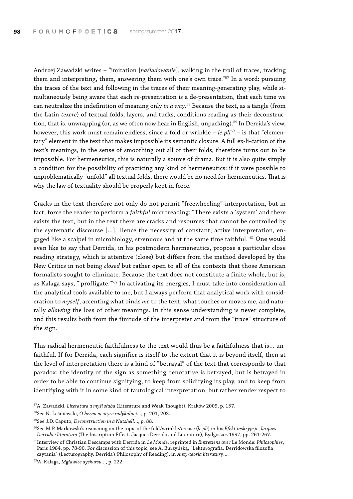Andrzej Zawadzki writes – "imitation [*naśladowanie*], walking in the trail of traces, tracking them and interpreting, them, answering them with one's own trace."<sup>57</sup> In a word: pursuing the traces of the text and following in the traces of their meaning-generating play, while simultaneously being aware that each re-presentation is a de-presentation, that each time we can neutralize the indefinition of meaning only *in a way*. 58 Because the text, as a tangle (from the Latin *texere*) of textual folds, layers, and tucks, conditions reading as their deconstruction, that is, unwrapping (or, as we often now hear in English, unpacking).<sup>59</sup> In Derrida's view, however, this work must remain endless, since a fold or wrinkle - *le pli*<sup>60</sup> - is that "elementary" element in the text that makes impossible its semantic closure. A full ex-li-cation of the text's meanings, in the sense of smoothing out all of their folds, therefore turns out to be impossible. For hermeneutics, this is naturally a source of drama. But it is also quite simply a condition for the possibility of practicing any kind of hermeneutics: if it were possible to unproblematically "unfold" all textual folds, there would be no need for hermeneutics. That is why the law of textuality should be properly kept in force.

Cracks in the text therefore not only do not permit "freewheeling" interpretation, but in fact, force the reader to perform a *faithful* microreading: "There exists a 'system' and there exists the text, but in the text there are cracks and resources that cannot be controlled by the systematic discourse […]. Hence the necessity of constant, active interpretation, engaged like a scalpel in microbiology, strenuous and at the same time faithful."<sup>61</sup> One would even like to say that Derrida, in his postmodern hermeneutics, propose a particular close reading strategy, which is attentive (close) but differs from the method developed by the New Critics in not being *closed* but rather open to all of the contexts that those American formalists sought to eliminate. Because the text does not constitute a finite whole, but is, as Kalaga says, "'profligate.'"62 In activating its energies, I must take into consideration all the analytical tools available to me, but I always perform that analytical work with consideration to *myself*, accenting what binds *me* to the text, what touches or moves me, and naturally *allowing* the loss of other meanings. In this sense understanding is never complete, and this results both from the finitude of the interpreter and from the "trace" structure of the sign.

This radical hermeneutic faithfulness to the text would thus be a faithfulness that is… unfaithful. If for Derrida, each signifier is itself to the extent that it is beyond itself, then at the level of interpretation there is a kind of "betrayal" of the text that corresponds to that paradox: the identity of the sign as something denotative is betrayed, but is betrayed in order to be able to continue signifying, to keep from solidifying its play, and to keep from identifying with it in some kind of tautological interpretation, but rather render respect to

<sup>57</sup>A. Zawadzki, *Literatura a myśl słaba* (Literature and Weak Thought), Kraków 2009, p. 157.

<sup>58</sup>See N. Leśniewski, *O hermeneutyce radykalnej…*, p. 201, 203.

<sup>59</sup>See J.D. Caputo, *Deconstruction in a Nutshell*…, p. 88.

<sup>60</sup>See M.P. Markowski's reaosning on the topic of the fold/wrinkle/crease (*le pli*) in his *Efekt inskrypcji. Jacques Derrida i literatura* (The Inscription Effect. Jacques Derrida and Literature), Bydgoszcz 1997, pp. 261-267.

<sup>61</sup>Interview of Christian Descamps with Derrida in *Le Monde*, reprinted in *Entretiens avec* Le Monde: *Philosophies*, Paris 1984, pp. 78-90. For discussion of this topic, see A. Burzyńską, "Lekturografia. Derridowska filozofia czytania" (Lecturography. Derrida's Philosophy of Reading), in *Anty-teoria literatury…*.

<sup>62</sup>W. Kalaga, *Mgławice dyskursu…*, p. 222.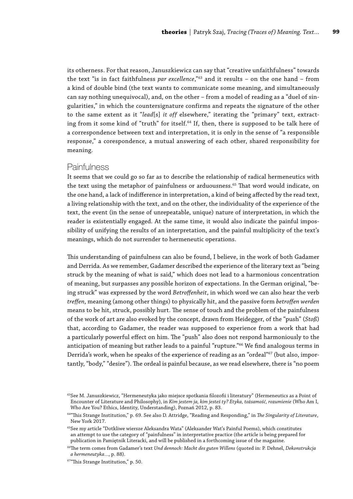its otherness. For that reason, Januszkiewicz can say that "creative unfaithfulness" towards the text "is in fact faithfulness *par excellence*,"63 and it results – on the one hand – from a kind of double bind (the text wants to communicate some meaning, and simultaneously can say nothing unequivocal), and, on the other – from a model of reading as a "duel of singularities," in which the countersignature confirms and repeats the signature of the other to the same extent as it "*lead*[s] *it off* elsewhere," iterating the "primary" text, extracting from it some kind of "truth" for itself.<sup>64</sup> If, then, there is supposed to be talk here of a correspondence between text and interpretation, it is only in the sense of "a responsible response," a corespondence, a mutual answering of each other, shared responsibility for meaning.

#### **Painfulness**

It seems that we could go so far as to describe the relationship of radical hermeneutics with the text using the metaphor of painfulness or arduousness.<sup>65</sup> That word would indicate, on the one hand, a lack of indifference in interpretation, a kind of being affected by the read text, a living relationship with the text, and on the other, the individuality of the experience of the text, the event (in the sense of unrepeatable, unique) nature of interpretation, in which the reader is existentially engaged. At the same time, it would also indicate the painful impossibility of unifying the results of an interpretation, and the painful multiplicity of the text's meanings, which do not surrender to hermeneutic operations.

This understanding of painfulness can also be found, I believe, in the work of both Gadamer and Derrida. As we remember, Gadamer described the experience of the literary text as "being struck by the meaning of what is said," which does not lead to a harmonious concentration of meaning, but surpasses any possible horizon of expectations. In the German original, "being struck" was expressed by the word *Betroffenheit*, in which word we can also hear the verb *treffen*, meaning (among other things) to physically hit, and the passive form *betroffen werden* means to be hit, struck, possibly hurt. The sense of touch and the problem of the painfulness of the work of art are also evoked by the concept, drawn from Heidegger, of the "push" (*Stoß*) that, according to Gadamer, the reader was supposed to experience from a work that had a particularly powerful effect on him. The "push" also does not respond harmoniously to the anticipation of meaning but rather leads to a painful "rupture."66 We find analogous terms in Derrida's work, when he speaks of the experience of reading as an "ordeal"67 (but also, importantly, "body," "desire"). The ordeal is painful because, as we read elsewhere, there is "no poem

 $63$ See M. Januszkiewicz, "Hermeneutyka jako miejsce spotkania filozofii i literatury" (Hermeneutics as a Point of Encounter of Literature and Philosophy), in *Kim jestem ja, kim jesteś ty? Etyka, tożsamość, rozumienie* (Who Am I, Who Are You? Ethics, Identity, Understanding), Poznań 2012, p. 83.

<sup>64&</sup>quot;This Strange Institution," p. 69. See also D. Attridge, "Reading and Responding," in *The Singularity of Literature*, New York 2017.

<sup>&</sup>lt;sup>65</sup>See my article "Dotkliwe wiersze Aleksandra Wata" (Aleksander Wat's Painful Poems), which constitutes an attempt to use the category of "painfulness" in interpretative practice (the article is being prepared for publication in Pamiętnik Literacki, and will be published in a forthcoming issue of the magazine.

<sup>66</sup>The term comes from Gadamer's text *Und dennoch: Macht des guten Willens* (quoted in: P. Dehnel, *Dekonstrukcja a hermeneutyka…*, p. 88).

<sup>67&</sup>quot;This Strange Institution," p. 50.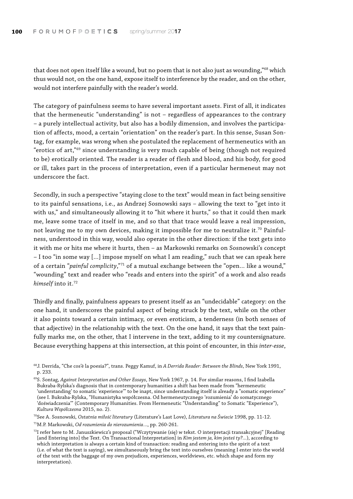that does not open itself like a wound, but no poem that is not also just as wounding,"<sup>68</sup> which thus would not, on the one hand, expose itself to interference by the reader, and on the other, would not interfere painfully with the reader's world.

The category of painfulness seems to have several important assets. First of all, it indicates that the hermeneutic "understanding" is not – regardless of appearances to the contrary – a purely intellectual activity, but also has a bodily dimension, and involves the participation of affects, mood, a certain "orientation" on the reader's part. In this sense, Susan Sontag, for example, was wrong when she postulated the replacement of hermeneutics with an "erotics of art,"69 since understanding is very much capable of being (though not required to be) erotically oriented. The reader is a reader of flesh and blood, and his body, for good or ill, takes part in the process of interpretation, even if a particular hermeneut may not underscore the fact.

Secondly, in such a perspective "staying close to the text" would mean in fact being sensitive to its painful sensations, i.e., as Andrzej Sosnowski says – allowing the text to "get into it with us," and simultaneously allowing it to "hit where it hurts," so that it could then mark me, leave some trace of itself in me, and so that that trace would leave a real impression, not leaving me to my own devices, making it impossible for me to neutralize it.<sup>70</sup> Painfulness, understood in this way, would also operate in the other direction: if the text gets into it with me or hits me where it hurts, then – as Markowski remarks on Sosnowski's concept – I too "in some way […] impose myself on what I am reading," such that we can speak here of a certain "*painful complicity*,"71 of a mutual exchange between the "open… like a wound," "wounding" text and reader who "reads and enters into the spirit" of a work and also reads *himself* into it.72

Thirdly and finally, painfulness appears to present itself as an "undecidable" category: on the one hand, it underscores the painful aspect of being struck by the text, while on the other it also points toward a certain intimacy, or even eroticism, a tenderness (in both senses of that adjective) in the relationship with the text. On the one hand, it says that the text painfully marks me, on the other, that I intervene in the text, adding to it my countersignature. Because everything happens at this intersection, at this point of encounter, in this *inter-esse*,

71M.P. Markowski, *Od rozumienia do nierozumienia…*, pp. 260-261.

<sup>68</sup>J. Derrida, "Che cos'è la poesia?", trans. Peggy Kamuf, in *A Derrida Reader: Between the Blinds*, New York 1991, p. 233.

<sup>69</sup>S. Sontag, *Against Interpretation and Other Essays*, New York 1967, p. 14. For similar reasons, I find Izabella Bukraba-Rylska's diagnosis that in contemporary humanities a shift has been made from "hermeneutic 'understanding' to somatic 'experience'" to be inapt, since understanding itself is already a "somatic experience" (see I. Bukraba-Rylska, "Humanistyka współczesna. Od hermeneutycznego 'rozumienia' do somatycznego 'doświadczenia'" (Contemporary Humanities. From Hermeneutic "Understanding" to Somatic "Experience"), *Kultura Współczesna* 2015, no. 2).

<sup>70</sup>See A. Sosnowski, *Ostatnia miłość literatury* (Literature's Last Love), *Literatura na Świecie* 1998, pp. 11-12.

<sup>72</sup>I refer here to M. Januszkiewicz's proposal ("Wczytywanie (się) w tekst. O interpretacji transakcyjnej" [Reading [and Entering into] the Text. On Transactional Interpretation] in *Kim jestem ja, kim jesteś ty?...*), according to which interpretation is always a certain kind of transaction: reading and entering into the spirit of a text (i.e. of what the text is saying), we simultaneously bring the text into ourselves (meaning I enter into the world of the text with the baggage of my own prejudices, experiences, worldviews, etc. which shape and form my interpretation).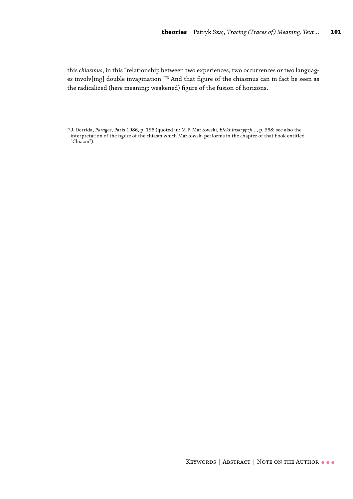this *chiasmus*, in this "relationship between two experiences, two occurrences or two languages involv[ing] double invagination."73 And that figure of the chiasmus can in fact be seen as the radicalized (here meaning: weakened) figure of the fusion of horizons.

<sup>73</sup>J. Derrida, *Parages*, Paris 1986, p. 196 (quoted in: M.P. Markowski, *Efekt inskrypcji…*, p. 368; see also the interpretation of the figure of the chiasm which Markowski performs in the chapter of that book entitled "Chiazm").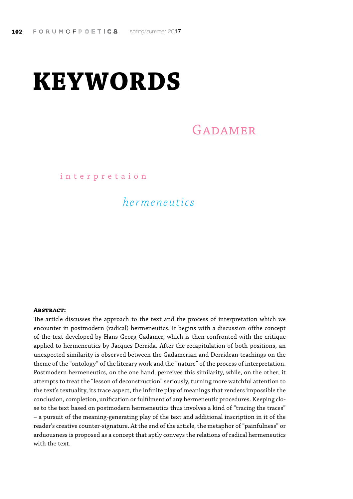# <span id="page-14-0"></span>**KEYWORDS**

## GADAMER

interpretaion

## *hermeneutics*

#### **Abstract:**

The article discusses the approach to the text and the process of interpretation which we encounter in postmodern (radical) hermeneutics. It begins with a discussion ofthe concept of the text developed by Hans-Georg Gadamer, which is then confronted with the critique applied to hermeneutics by Jacques Derrida. After the recapitulation of both positions, an unexpected similarity is observed between the Gadamerian and Derridean teachings on the theme of the "ontology" of the literary work and the "nature" of the process of interpretation. Postmodern hermeneutics, on the one hand, perceives this similarity, while, on the other, it attempts to treat the "lesson of deconstruction" seriously, turning more watchful attention to the text's textuality, its trace aspect, the infinite play of meanings that renders impossible the conclusion, completion, unification or fulfilment of any hermeneutic procedures. Keeping close to the text based on postmodern hermeneutics thus involves a kind of "tracing the traces" – a pursuit of the meaning-generating play of the text and additional inscription in it of the reader's creative counter-signature. At the end of the article, the metaphor of "painfulness" or arduousness is proposed as a concept that aptly conveys the relations of radical hermeneutics with the text.